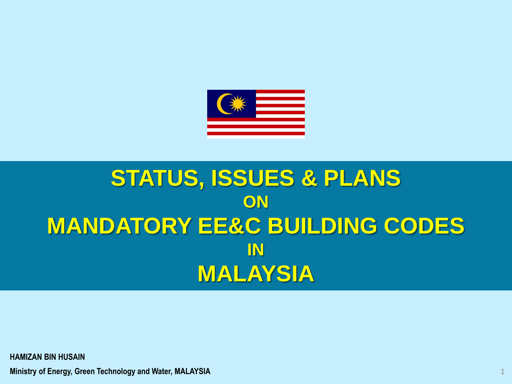

### **STATUS, ISSUES & PLANS ON MANDATORY EE&C BUILDING CODES IN MALAYSIA**

**HAMIZAN BIN HUSAIN**

**Ministry of Energy, Green Technology and Water, MALAYSIA**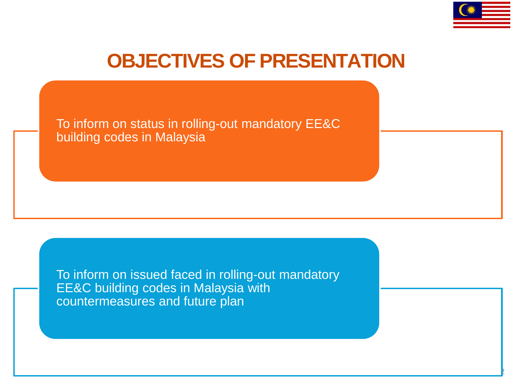

2

### **OBJECTIVES OF PRESENTATION**

To inform on status in rolling-out mandatory EE&C building codes in Malaysia

To inform on issued faced in rolling-out mandatory EE&C building codes in Malaysia with countermeasures and future plan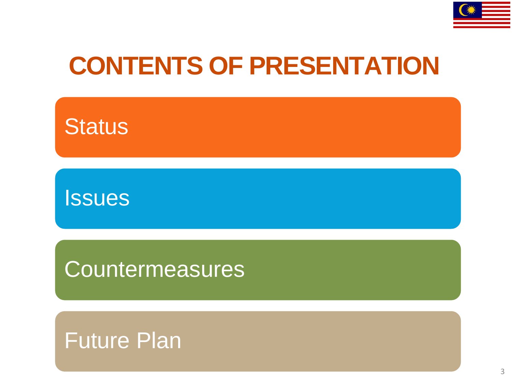

## **CONTENTS OF PRESENTATION**



Issues

**Countermeasures** 

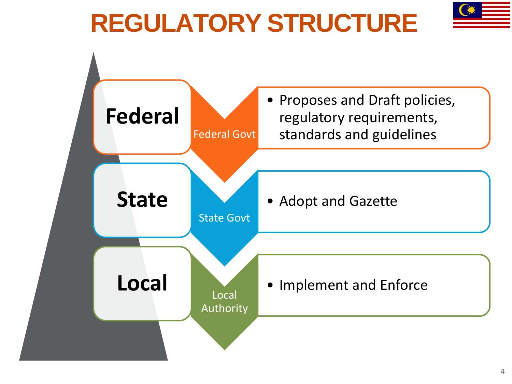# **REGULATORY STRUCTURE**



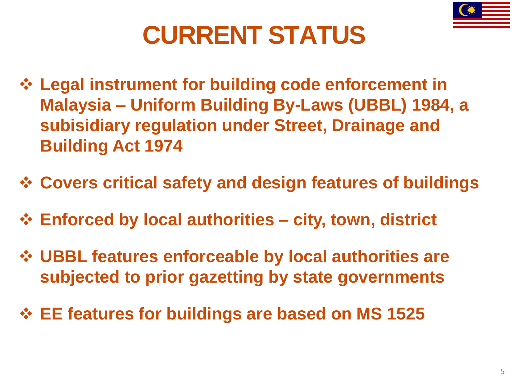# **CURRENT STATUS**

- **Legal instrument for building code enforcement in Malaysia – Uniform Building By-Laws (UBBL) 1984, a subisidiary regulation under Street, Drainage and Building Act 1974**
- **Covers critical safety and design features of buildings**
- **Enforced by local authorities – city, town, district**
- **UBBL features enforceable by local authorities are subjected to prior gazetting by state governments**
- **EE features for buildings are based on MS 1525**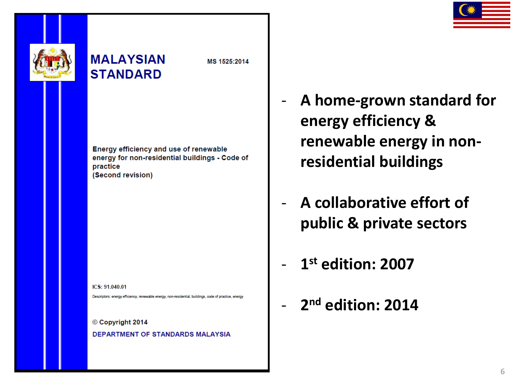

### **MALAYSIAN STANDARD**

MS 1525:2014

Energy efficiency and use of renewable energy for non-residential buildings - Code of practice (Second revision)

 $ICS: 91.040.01$ 

Descriptors: energy efficiency, renewable energy, non-residential, buildings, code of practice, energy

© Copyright 2014 **DEPARTMENT OF STANDARDS MALAYSIA** 

- **A home-grown standard for energy efficiency & renewable energy in nonresidential buildings**
- **A collaborative effort of public & private sectors**
- **1 st edition: 2007**
- **2 nd edition: 2014**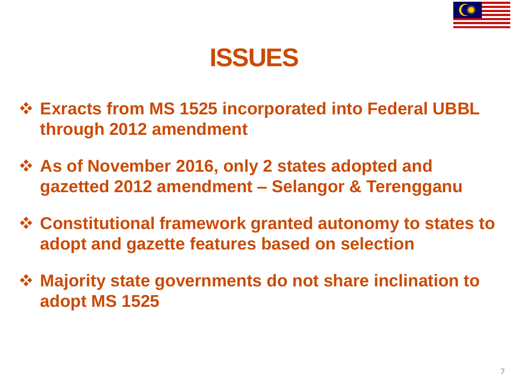



- **Exracts from MS 1525 incorporated into Federal UBBL through 2012 amendment**
- **As of November 2016, only 2 states adopted and gazetted 2012 amendment – Selangor & Terengganu**
- **Constitutional framework granted autonomy to states to adopt and gazette features based on selection**
- **Majority state governments do not share inclination to adopt MS 1525**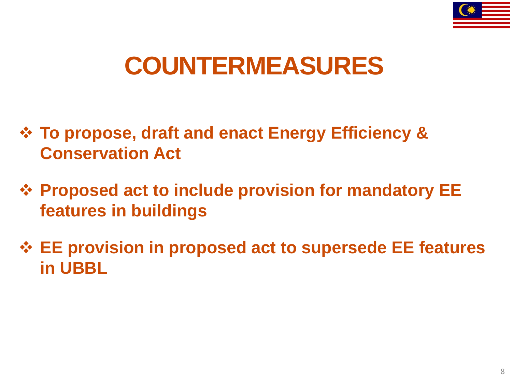

### **COUNTERMEASURES**

- **To propose, draft and enact Energy Efficiency & Conservation Act**
- **Proposed act to include provision for mandatory EE features in buildings**
- **EE provision in proposed act to supersede EE features in UBBL**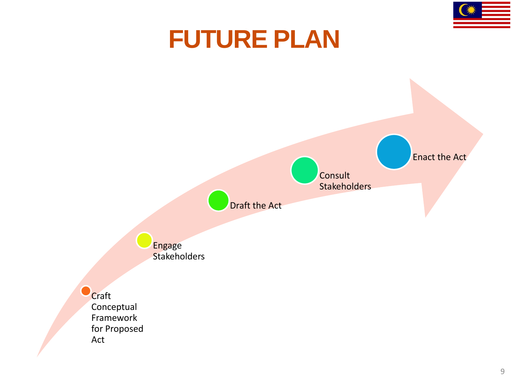

### **FUTURE PLAN**